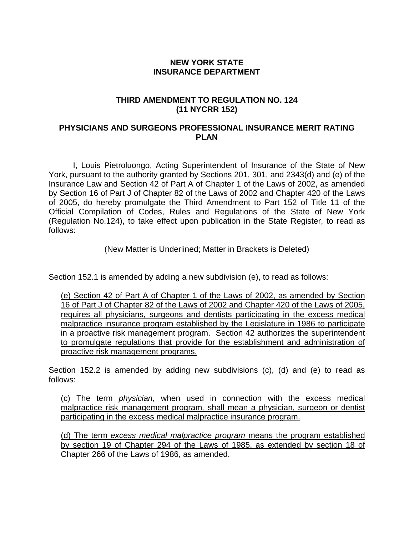## **NEW YORK STATE INSURANCE DEPARTMENT**

## **THIRD AMENDMENT TO REGULATION NO. 124 (11 NYCRR 152)**

## **PHYSICIANS AND SURGEONS PROFESSIONAL INSURANCE MERIT RATING PLAN**

I, Louis Pietroluongo, Acting Superintendent of Insurance of the State of New York, pursuant to the authority granted by Sections 201, 301, and 2343(d) and (e) of the Insurance Law and Section 42 of Part A of Chapter 1 of the Laws of 2002, as amended by Section 16 of Part J of Chapter 82 of the Laws of 2002 and Chapter 420 of the Laws of 2005, do hereby promulgate the Third Amendment to Part 152 of Title 11 of the Official Compilation of Codes, Rules and Regulations of the State of New York (Regulation No.124), to take effect upon publication in the State Register, to read as follows:

(New Matter is Underlined; Matter in Brackets is Deleted)

Section 152.1 is amended by adding a new subdivision (e), to read as follows:

(e) Section 42 of Part A of Chapter 1 of the Laws of 2002, as amended by Section 16 of Part J of Chapter 82 of the Laws of 2002 and Chapter 420 of the Laws of 2005, requires all physicians, surgeons and dentists participating in the excess medical malpractice insurance program established by the Legislature in 1986 to participate in a proactive risk management program. Section 42 authorizes the superintendent to promulgate regulations that provide for the establishment and administration of proactive risk management programs.

Section 152.2 is amended by adding new subdivisions (c), (d) and (e) to read as follows:

(c) The term *physician,* when used in connection with the excess medical malpractice risk management program*,* shall mean a physician, surgeon or dentist participating in the excess medical malpractice insurance program.

(d) The term *excess medical malpractice program* means the program established by section 19 of Chapter 294 of the Laws of 1985, as extended by section 18 of Chapter 266 of the Laws of 1986, as amended.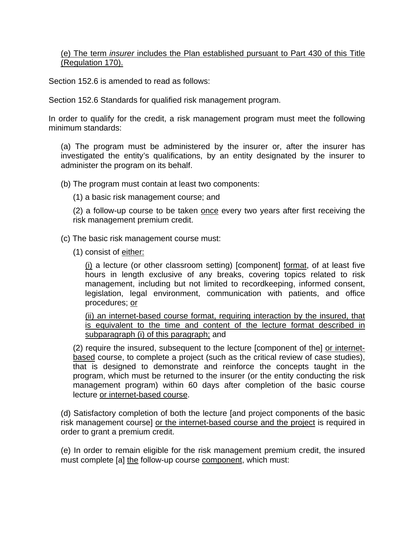## (e) The term *insurer* includes the Plan established pursuant to Part 430 of this Title (Regulation 170).

Section 152.6 is amended to read as follows:

Section 152.6 Standards for qualified risk management program.

In order to qualify for the credit, a risk management program must meet the following minimum standards:

(a) The program must be administered by the insurer or, after the insurer has investigated the entity's qualifications, by an entity designated by the insurer to administer the program on its behalf.

(b) The program must contain at least two components:

(1) a basic risk management course; and

(2) a follow-up course to be taken once every two years after first receiving the risk management premium credit.

(c) The basic risk management course must:

(1) consist of either:

(i) a lecture (or other classroom setting) [component] format, of at least five hours in length exclusive of any breaks, covering topics related to risk management, including but not limited to recordkeeping, informed consent, legislation, legal environment, communication with patients, and office procedures; or

(ii) an internet-based course format, requiring interaction by the insured, that is equivalent to the time and content of the lecture format described in subparagraph (i) of this paragraph; and

(2) require the insured, subsequent to the lecture [component of the] or internetbased course, to complete a project (such as the critical review of case studies), that is designed to demonstrate and reinforce the concepts taught in the program, which must be returned to the insurer (or the entity conducting the risk management program) within 60 days after completion of the basic course lecture or internet-based course.

(d) Satisfactory completion of both the lecture [and project components of the basic risk management course] or the internet-based course and the project is required in order to grant a premium credit.

(e) In order to remain eligible for the risk management premium credit, the insured must complete [a] the follow-up course component, which must: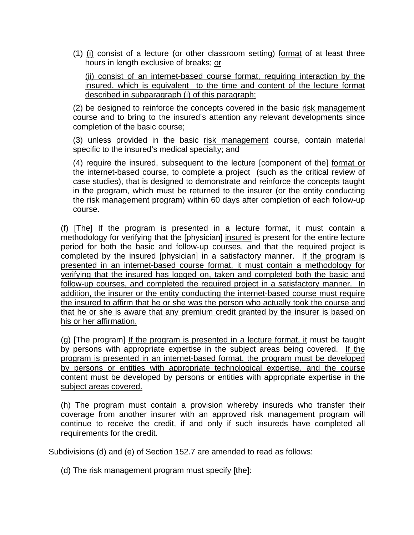(1) (i) consist of a lecture (or other classroom setting) format of at least three hours in length exclusive of breaks; or

(ii) consist of an internet-based course format, requiring interaction by the insured, which is equivalent to the time and content of the lecture format described in subparagraph (i) of this paragraph;

(2) be designed to reinforce the concepts covered in the basic risk management course and to bring to the insured's attention any relevant developments since completion of the basic course;

(3) unless provided in the basic risk management course, contain material specific to the insured's medical specialty; and

(4) require the insured, subsequent to the lecture [component of the] format or the internet-based course, to complete a project (such as the critical review of case studies), that is designed to demonstrate and reinforce the concepts taught in the program, which must be returned to the insurer (or the entity conducting the risk management program) within 60 days after completion of each follow-up course.

(f) [The] If the program is presented in a lecture format, it must contain a methodology for verifying that the [physician] insured is present for the entire lecture period for both the basic and follow-up courses, and that the required project is completed by the insured [physician] in a satisfactory manner. If the program is presented in an internet-based course format, it must contain a methodology for verifying that the insured has logged on, taken and completed both the basic and follow-up courses, and completed the required project in a satisfactory manner. In addition, the insurer or the entity conducting the internet-based course must require the insured to affirm that he or she was the person who actually took the course and that he or she is aware that any premium credit granted by the insurer is based on his or her affirmation.

(g) [The program] If the program is presented in a lecture format, it must be taught by persons with appropriate expertise in the subject areas being covered. If the program is presented in an internet-based format, the program must be developed by persons or entities with appropriate technological expertise, and the course content must be developed by persons or entities with appropriate expertise in the subject areas covered.

(h) The program must contain a provision whereby insureds who transfer their coverage from another insurer with an approved risk management program will continue to receive the credit, if and only if such insureds have completed all requirements for the credit.

Subdivisions (d) and (e) of Section 152.7 are amended to read as follows:

(d) The risk management program must specify [the]: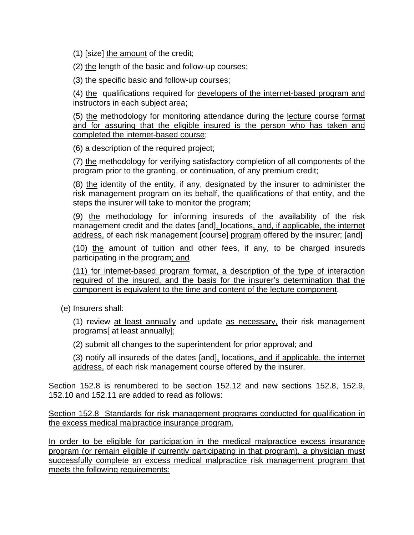(1) [size] the amount of the credit;

(2) the length of the basic and follow-up courses;

(3) the specific basic and follow-up courses;

(4) the qualifications required for developers of the internet-based program and instructors in each subject area;

(5) the methodology for monitoring attendance during the lecture course format and for assuring that the eligible insured is the person who has taken and completed the internet-based course;

(6) a description of the required project;

(7) the methodology for verifying satisfactory completion of all components of the program prior to the granting, or continuation, of any premium credit;

(8) the identity of the entity, if any, designated by the insurer to administer the risk management program on its behalf, the qualifications of that entity, and the steps the insurer will take to monitor the program;

(9) the methodology for informing insureds of the availability of the risk management credit and the dates [and], locations, and, if applicable, the internet address, of each risk management [course] program offered by the insurer; [and]

(10) the amount of tuition and other fees, if any, to be charged insureds participating in the program; and

(11) for internet-based program format, a description of the type of interaction required of the insured, and the basis for the insurer's determination that the component is equivalent to the time and content of the lecture component.

(e) Insurers shall:

(1) review at least annually and update as necessary, their risk management programs[ at least annually];

(2) submit all changes to the superintendent for prior approval; and

(3) notify all insureds of the dates [and], locations, and if applicable, the internet address, of each risk management course offered by the insurer.

Section 152.8 is renumbered to be section 152.12 and new sections 152.8, 152.9, 152.10 and 152.11 are added to read as follows:

Section 152.8 Standards for risk management programs conducted for qualification in the excess medical malpractice insurance program.

In order to be eligible for participation in the medical malpractice excess insurance program (or remain eligible if currently participating in that program), a physician must successfully complete an excess medical malpractice risk management program that meets the following requirements: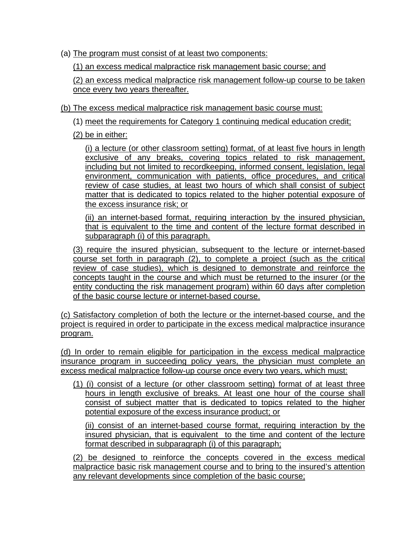(a) The program must consist of at least two components:

(1) an excess medical malpractice risk management basic course; and

(2) an excess medical malpractice risk management follow-up course to be taken once every two years thereafter.

(b) The excess medical malpractice risk management basic course must:

(1) meet the requirements for Category 1 continuing medical education credit;

(2) be in either:

 (i) a lecture (or other classroom setting) format, of at least five hours in length exclusive of any breaks, covering topics related to risk management, including but not limited to recordkeeping, informed consent, legislation, legal environment, communication with patients, office procedures, and critical review of case studies, at least two hours of which shall consist of subject matter that is dedicated to topics related to the higher potential exposure of the excess insurance risk; or

(ii) an internet-based format, requiring interaction by the insured physician, that is equivalent to the time and content of the lecture format described in subparagraph (i) of this paragraph.

(3) require the insured physician, subsequent to the lecture or internet-based course set forth in paragraph (2), to complete a project (such as the critical review of case studies), which is designed to demonstrate and reinforce the concepts taught in the course and which must be returned to the insurer (or the entity conducting the risk management program) within 60 days after completion of the basic course lecture or internet-based course.

(c) Satisfactory completion of both the lecture or the internet-based course, and the project is required in order to participate in the excess medical malpractice insurance program.

(d) In order to remain eligible for participation in the excess medical malpractice insurance program in succeeding policy years, the physician must complete an excess medical malpractice follow-up course once every two years, which must:

(1) (i) consist of a lecture (or other classroom setting) format of at least three hours in length exclusive of breaks. At least one hour of the course shall consist of subject matter that is dedicated to topics related to the higher potential exposure of the excess insurance product; or

(ii) consist of an internet-based course format, requiring interaction by the insured physician, that is equivalent to the time and content of the lecture format described in subparagraph (i) of this paragraph;

(2) be designed to reinforce the concepts covered in the excess medical malpractice basic risk management course and to bring to the insured's attention any relevant developments since completion of the basic course;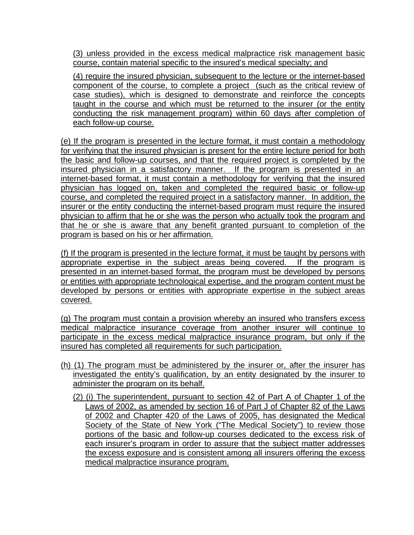(3) unless provided in the excess medical malpractice risk management basic course, contain material specific to the insured's medical specialty; and

(4) require the insured physician, subsequent to the lecture or the internet-based component of the course, to complete a project (such as the critical review of case studies), which is designed to demonstrate and reinforce the concepts taught in the course and which must be returned to the insurer (or the entity conducting the risk management program) within 60 days after completion of each follow-up course.

(e) If the program is presented in the lecture format, it must contain a methodology for verifying that the insured physician is present for the entire lecture period for both the basic and follow-up courses, and that the required project is completed by the insured physician in a satisfactory manner. If the program is presented in an internet-based format, it must contain a methodology for verifying that the insured physician has logged on, taken and completed the required basic or follow-up course, and completed the required project in a satisfactory manner. In addition, the insurer or the entity conducting the internet-based program must require the insured physician to affirm that he or she was the person who actually took the program and that he or she is aware that any benefit granted pursuant to completion of the program is based on his or her affirmation.

(f) If the program is presented in the lecture format, it must be taught by persons with appropriate expertise in the subject areas being covered. If the program is presented in an internet-based format, the program must be developed by persons or entities with appropriate technological expertise, and the program content must be developed by persons or entities with appropriate expertise in the subject areas covered.

(g) The program must contain a provision whereby an insured who transfers excess medical malpractice insurance coverage from another insurer will continue to participate in the excess medical malpractice insurance program, but only if the insured has completed all requirements for such participation.

- (h) (1) The program must be administered by the insurer or, after the insurer has investigated the entity's qualification, by an entity designated by the insurer to administer the program on its behalf.
	- (2) (i) The superintendent, pursuant to section 42 of Part A of Chapter 1 of the Laws of 2002, as amended by section 16 of Part J of Chapter 82 of the Laws of 2002 and Chapter 420 of the Laws of 2005, has designated the Medical Society of the State of New York ("The Medical Society") to review those portions of the basic and follow-up courses dedicated to the excess risk of each insurer's program in order to assure that the subject matter addresses the excess exposure and is consistent among all insurers offering the excess medical malpractice insurance program.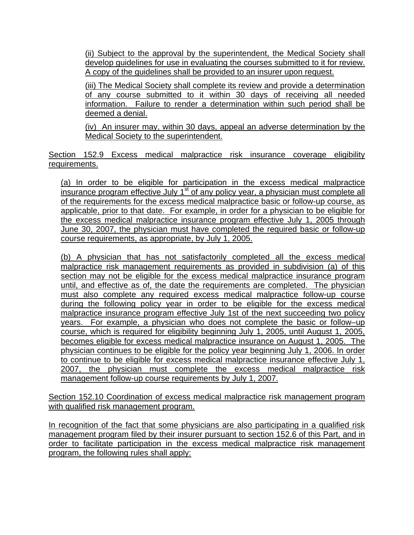(ii) Subject to the approval by the superintendent, the Medical Society shall develop guidelines for use in evaluating the courses submitted to it for review. A copy of the guidelines shall be provided to an insurer upon request.

(iii) The Medical Society shall complete its review and provide a determination of any course submitted to it within 30 days of receiving all needed information. Failure to render a determination within such period shall be deemed a denial.

(iv) An insurer may, within 30 days, appeal an adverse determination by the Medical Society to the superintendent.

Section 152.9 Excess medical malpractice risk insurance coverage eligibility requirements.

(a) In order to be eligible for participation in the excess medical malpractice insurance program effective July  $1<sup>st</sup>$  of any policy year, a physician must complete all of the requirements for the excess medical malpractice basic or follow-up course, as applicable, prior to that date. For example, in order for a physician to be eligible for the excess medical malpractice insurance program effective July 1, 2005 through June 30, 2007, the physician must have completed the required basic or follow-up course requirements, as appropriate, by July 1, 2005.

(b) A physician that has not satisfactorily completed all the excess medical malpractice risk management requirements as provided in subdivision (a) of this section may not be eligible for the excess medical malpractice insurance program until, and effective as of, the date the requirements are completed. The physician must also complete any required excess medical malpractice follow-up course during the following policy year in order to be eligible for the excess medical malpractice insurance program effective July 1st of the next succeeding two policy years. For example, a physician who does not complete the basic or follow–up course, which is required for eligibility beginning July 1, 2005, until August 1, 2005, becomes eligible for excess medical malpractice insurance on August 1, 2005. The physician continues to be eligible for the policy year beginning July 1, 2006. In order to continue to be eligible for excess medical malpractice insurance effective July 1, 2007, the physician must complete the excess medical malpractice risk management follow-up course requirements by July 1, 2007.

Section 152.10 Coordination of excess medical malpractice risk management program with qualified risk management program.

In recognition of the fact that some physicians are also participating in a qualified risk management program filed by their insurer pursuant to section 152.6 of this Part, and in order to facilitate participation in the excess medical malpractice risk management program, the following rules shall apply: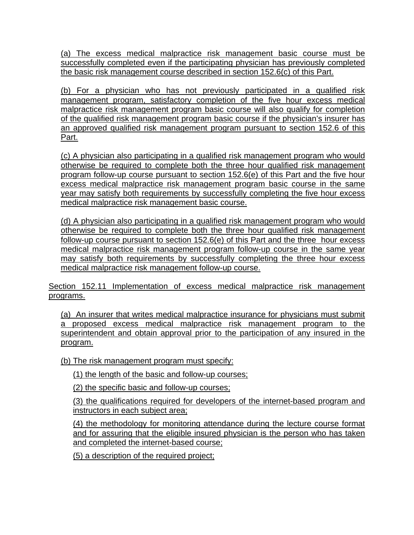(a) The excess medical malpractice risk management basic course must be successfully completed even if the participating physician has previously completed the basic risk management course described in section 152.6(c) of this Part.

(b) For a physician who has not previously participated in a qualified risk management program, satisfactory completion of the five hour excess medical malpractice risk management program basic course will also qualify for completion of the qualified risk management program basic course if the physician's insurer has an approved qualified risk management program pursuant to section 152.6 of this Part.

(c) A physician also participating in a qualified risk management program who would otherwise be required to complete both the three hour qualified risk management program follow-up course pursuant to section 152.6(e) of this Part and the five hour excess medical malpractice risk management program basic course in the same year may satisfy both requirements by successfully completing the five hour excess medical malpractice risk management basic course.

(d) A physician also participating in a qualified risk management program who would otherwise be required to complete both the three hour qualified risk management follow-up course pursuant to section 152.6(e) of this Part and the three hour excess medical malpractice risk management program follow-up course in the same year may satisfy both requirements by successfully completing the three hour excess medical malpractice risk management follow-up course.

Section 152.11 Implementation of excess medical malpractice risk management programs.

(a) An insurer that writes medical malpractice insurance for physicians must submit a proposed excess medical malpractice risk management program to the superintendent and obtain approval prior to the participation of any insured in the program.

(b) The risk management program must specify:

(1) the length of the basic and follow-up courses;

(2) the specific basic and follow-up courses;

(3) the qualifications required for developers of the internet-based program and instructors in each subject area;

(4) the methodology for monitoring attendance during the lecture course format and for assuring that the eligible insured physician is the person who has taken and completed the internet-based course;

(5) a description of the required project;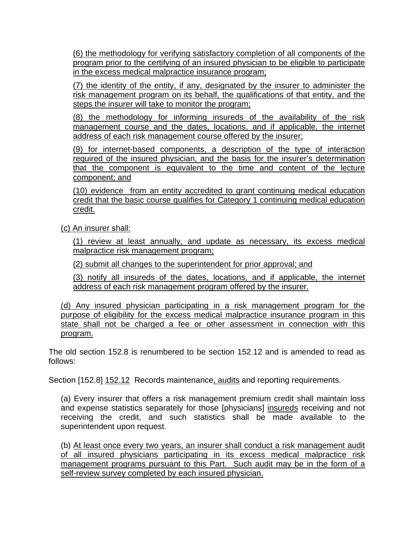(6) the methodology for verifying satisfactory completion of all components of the program prior to the certifying of an insured physician to be eligible to participate in the excess medical malpractice insurance program;

(7) the identity of the entity, if any, designated by the insurer to administer the risk management program on its behalf, the qualifications of that entity, and the steps the insurer will take to monitor the program;

(8) the methodology for informing insureds of the availability of the risk management course and the dates, locations, and if applicable, the internet address of each risk management course offered by the insurer;

(9) for internet-based components, a description of the type of interaction required of the insured physician, and the basis for the insurer's determination that the component is equivalent to the time and content of the lecture component; and

(10) evidence from an entity accredited to grant continuing medical education credit that the basic course qualifies for Category 1 continuing medical education credit.

(c) An insurer shall:

(1) review at least annually, and update as necessary, its excess medical malpractice risk management program;

(2) submit all changes to the superintendent for prior approval; and

(3) notify all insureds of the dates, locations, and if applicable, the internet address of each risk management program offered by the insurer.

(d) Any insured physician participating in a risk management program for the purpose of eligibility for the excess medical malpractice insurance program in this state shall not be charged a fee or other assessment in connection with this program.

The old section 152.8 is renumbered to be section 152.12 and is amended to read as follows:

Section [152.8] 152.12 Records maintenance, audits and reporting requirements.

(a) Every insurer that offers a risk management premium credit shall maintain loss and expense statistics separately for those [physicians] insureds receiving and not receiving the credit, and such statistics shall be made available to the superintendent upon request.

(b) At least once every two years, an insurer shall conduct a risk management audit of all insured physicians participating in its excess medical malpractice risk management programs pursuant to this Part. Such audit may be in the form of a self-review survey completed by each insured physician.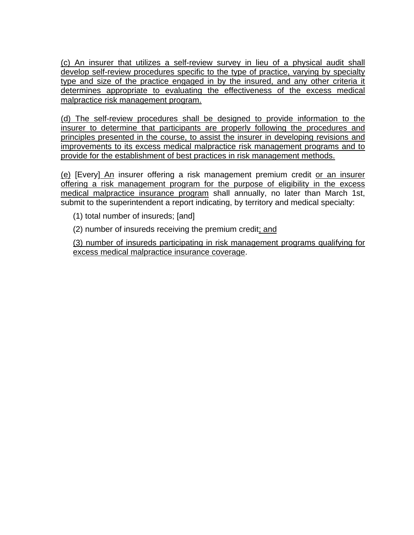(c) An insurer that utilizes a self-review survey in lieu of a physical audit shall develop self-review procedures specific to the type of practice, varying by specialty type and size of the practice engaged in by the insured, and any other criteria it determines appropriate to evaluating the effectiveness of the excess medical malpractice risk management program.

(d) The self-review procedures shall be designed to provide information to the insurer to determine that participants are properly following the procedures and principles presented in the course, to assist the insurer in developing revisions and improvements to its excess medical malpractice risk management programs and to provide for the establishment of best practices in risk management methods.

(e) [Every] An insurer offering a risk management premium credit or an insurer offering a risk management program for the purpose of eligibility in the excess medical malpractice insurance program shall annually, no later than March 1st, submit to the superintendent a report indicating, by territory and medical specialty:

- (1) total number of insureds; [and]
- (2) number of insureds receiving the premium credit; and

(3) number of insureds participating in risk management programs qualifying for excess medical malpractice insurance coverage.